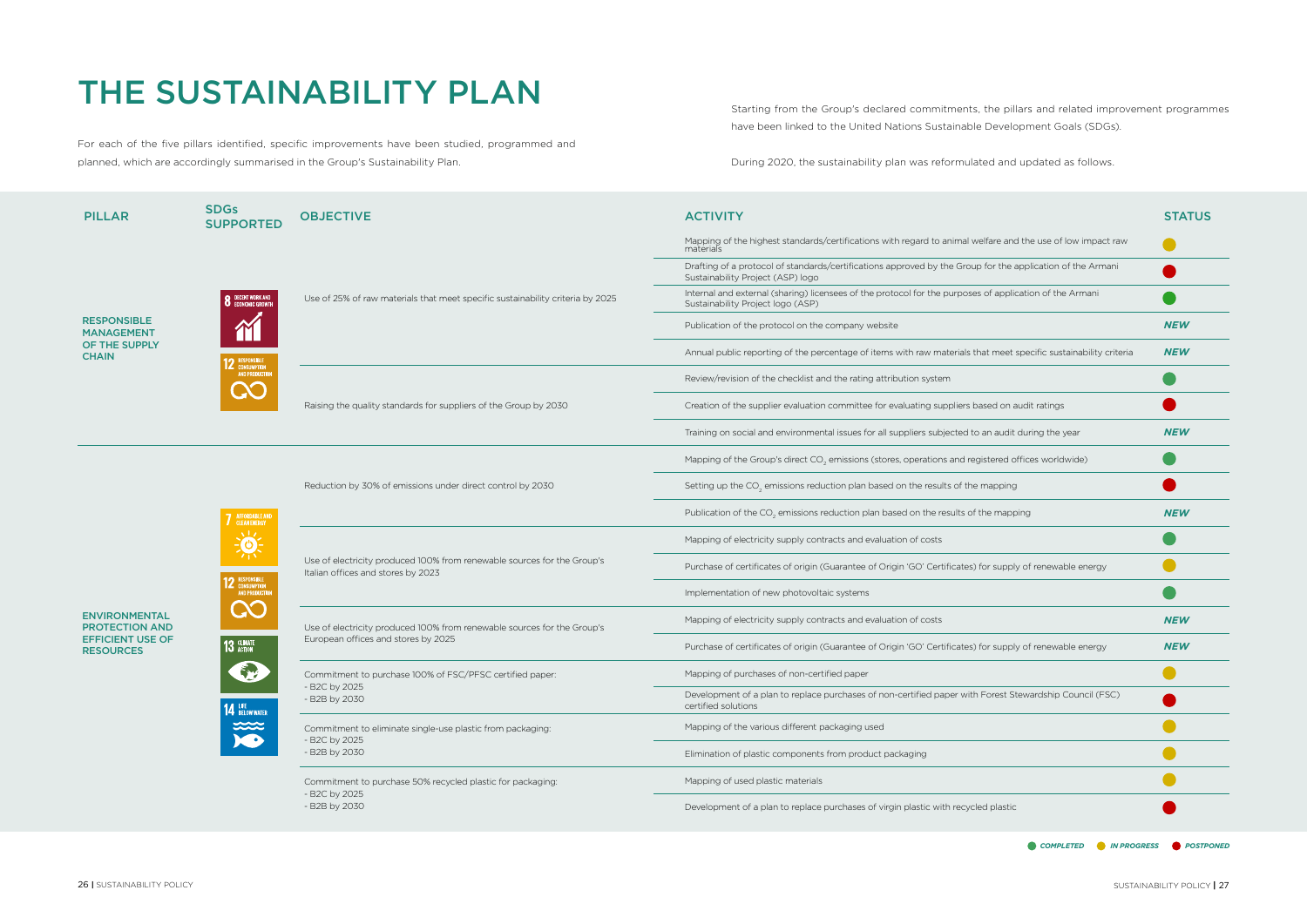For each of the five pillars identified, specific improvements have been studied, programmed and planned, which are accordingly summarised in the Group's Sustainability Plan.

## THE SUSTAINABILITY PLAN

| <b>PILLAR</b>                                                                                | <b>SDGs</b><br><b>SUPPORTED</b>                                                                                                                                                   | <b>OBJECTIVE</b>                                                                                               | <b>ACTIVITY</b>                                                                                                                                 | <b>STATUS</b> |
|----------------------------------------------------------------------------------------------|-----------------------------------------------------------------------------------------------------------------------------------------------------------------------------------|----------------------------------------------------------------------------------------------------------------|-------------------------------------------------------------------------------------------------------------------------------------------------|---------------|
| <b>RESPONSIBLE</b><br><b>MANAGEMENT</b><br>OF THE SUPPLY<br><b>CHAIN</b>                     | <b>8</b> DECENT WORK AND<br><b>2</b> RESPONSIBLE<br><b>CONSUMPTION</b><br>AND PRODUCTION                                                                                          | Use of 25% of raw materials that meet specific sustainability criteria by 2025                                 | Mapping of the highest standards/certifications with regard to animal welfare and the use of low impact raw<br>materials                        |               |
|                                                                                              |                                                                                                                                                                                   |                                                                                                                | Drafting of a protocol of standards/certifications approved by the Group for the application of the Armani<br>Sustainability Project (ASP) logo |               |
|                                                                                              |                                                                                                                                                                                   |                                                                                                                | Internal and external (sharing) licensees of the protocol for the purposes of application of the Armani<br>Sustainability Project logo (ASP)    |               |
|                                                                                              |                                                                                                                                                                                   |                                                                                                                | Publication of the protocol on the company website                                                                                              | <b>NEW</b>    |
|                                                                                              |                                                                                                                                                                                   |                                                                                                                | Annual public reporting of the percentage of items with raw materials that meet specific sustainability criteria                                | <b>NEW</b>    |
|                                                                                              |                                                                                                                                                                                   | Raising the quality standards for suppliers of the Group by 2030                                               | Review/revision of the checklist and the rating attribution system                                                                              |               |
|                                                                                              |                                                                                                                                                                                   |                                                                                                                | Creation of the supplier evaluation committee for evaluating suppliers based on audit ratings                                                   |               |
|                                                                                              |                                                                                                                                                                                   |                                                                                                                | Training on social and environmental issues for all suppliers subjected to an audit during the year                                             | <b>NEW</b>    |
| <b>ENVIRONMENTAL</b><br><b>PROTECTION AND</b><br><b>EFFICIENT USE OF</b><br><b>RESOURCES</b> | <b>7</b> AFFORDABLE AND<br>$\frac{1}{\sqrt{2}}$<br><b>12</b> RESPONSIBLE<br>AND PRODUCTION<br><b>CC</b><br>13 GLIMATE<br><b>14 LIFE</b><br>BELOW WATER<br>$x \infty$<br><b>XO</b> | Reduction by 30% of emissions under direct control by 2030                                                     | Mapping of the Group's direct CO <sub>2</sub> emissions (stores, operations and registered offices worldwide)                                   |               |
|                                                                                              |                                                                                                                                                                                   |                                                                                                                | Setting up the CO <sub>2</sub> emissions reduction plan based on the results of the mapping                                                     |               |
|                                                                                              |                                                                                                                                                                                   |                                                                                                                | Publication of the CO <sub>2</sub> emissions reduction plan based on the results of the mapping                                                 | <b>NEW</b>    |
|                                                                                              |                                                                                                                                                                                   | Use of electricity produced 100% from renewable sources for the Group's<br>Italian offices and stores by 2023  | Mapping of electricity supply contracts and evaluation of costs                                                                                 |               |
|                                                                                              |                                                                                                                                                                                   |                                                                                                                | Purchase of certificates of origin (Guarantee of Origin 'GO' Certificates) for supply of renewable energy                                       |               |
|                                                                                              |                                                                                                                                                                                   |                                                                                                                | Implementation of new photovoltaic systems                                                                                                      |               |
|                                                                                              |                                                                                                                                                                                   | Use of electricity produced 100% from renewable sources for the Group's<br>European offices and stores by 2025 | Mapping of electricity supply contracts and evaluation of costs                                                                                 | <b>NEW</b>    |
|                                                                                              |                                                                                                                                                                                   |                                                                                                                | Purchase of certificates of origin (Guarantee of Origin 'GO' Certificates) for supply of renewable energy                                       | <b>NEW</b>    |
|                                                                                              |                                                                                                                                                                                   | Commitment to purchase 100% of FSC/PFSC certified paper:<br>B2C by 2025<br>- B2B by 2030                       | Mapping of purchases of non-certified paper                                                                                                     |               |
|                                                                                              |                                                                                                                                                                                   |                                                                                                                | Development of a plan to replace purchases of non-certified paper with Forest Stewardship Council (FSC)<br>certified solutions                  |               |
|                                                                                              |                                                                                                                                                                                   | Commitment to eliminate single-use plastic from packaging:<br>- B2C by 2025<br>- B2B by 2030                   | Mapping of the various different packaging used                                                                                                 |               |
|                                                                                              |                                                                                                                                                                                   |                                                                                                                | Elimination of plastic components from product packaging                                                                                        |               |
|                                                                                              |                                                                                                                                                                                   | Commitment to purchase 50% recycled plastic for packaging:<br>- B2C by 2025<br>- B2B by 2030                   | Mapping of used plastic materials                                                                                                               |               |
|                                                                                              |                                                                                                                                                                                   |                                                                                                                | Development of a plan to replace purchases of virgin plastic with recycled plastic                                                              |               |
|                                                                                              |                                                                                                                                                                                   |                                                                                                                | COMPLETED IN PROGRESS POSTPONED                                                                                                                 |               |

Starting from the Group's declared commitments, the pillars and related improvement programmes have been linked to the United Nations Sustainable Development Goals (SDGs).

During 2020, the sustainability plan was reformulated and updated as follows.